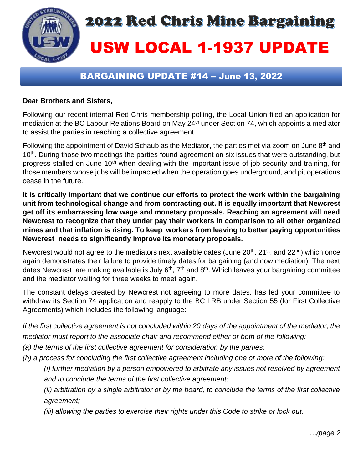

## BARGAINING UPDATE #14 – June 13, 2022

## **Dear Brothers and Sisters,**

Following our recent internal Red Chris membership polling, the Local Union filed an application for mediation at the BC Labour Relations Board on May 24<sup>th</sup> under Section 74, which appoints a mediator to assist the parties in reaching a collective agreement.

Following the appointment of David Schaub as the Mediator, the parties met via zoom on June 8<sup>th</sup> and 10<sup>th</sup>. During those two meetings the parties found agreement on six issues that were outstanding, but progress stalled on June 10<sup>th</sup> when dealing with the important issue of job security and training, for those members whose jobs will be impacted when the operation goes underground, and pit operations cease in the future.

**It is critically important that we continue our efforts to protect the work within the bargaining unit from technological change and from contracting out. It is equally important that Newcrest get off its embarrassing low wage and monetary proposals. Reaching an agreement will need Newcrest to recognize that they under pay their workers in comparison to all other organized mines and that inflation is rising. To keep workers from leaving to better paying opportunities Newcrest needs to significantly improve its monetary proposals.**

Newcrest would not agree to the mediators next available dates (June 20<sup>th</sup>, 21<sup>st</sup>, and 22<sup>nd</sup>) which once again demonstrates their failure to provide timely dates for bargaining (and now mediation). The next dates Newcrest are making available is July  $6<sup>th</sup>$ ,  $7<sup>th</sup>$  and  $8<sup>th</sup>$ . Which leaves your bargaining committee and the mediator waiting for three weeks to meet again.

The constant delays created by Newcrest not agreeing to more dates, has led your committee to withdraw its Section 74 application and reapply to the BC LRB under Section 55 (for First Collective Agreements) which includes the following language:

*If the first collective agreement is not concluded within 20 days of the appointment of the mediator, the mediator must report to the associate chair and recommend either or both of the following:*

*(a) the terms of the first collective agreement for consideration by the parties;*

*(b) a process for concluding the first collective agreement including one or more of the following:*

*(i) further mediation by a person empowered to arbitrate any issues not resolved by agreement and to conclude the terms of the first collective agreement;*

*(ii) arbitration by a single arbitrator or by the board, to conclude the terms of the first collective agreement;*

*(iii) allowing the parties to exercise their rights under this Code to strike or lock out.*